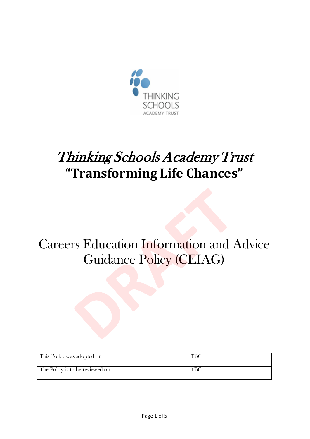

# Thinking Schools Academy Trust **"Transforming Life Chances"**

## Careers Education Information and Advice Guidance Policy (CEIAG)

| This Policy was adopted on      | T DC |
|---------------------------------|------|
| The Policy is to be reviewed on | ТВС  |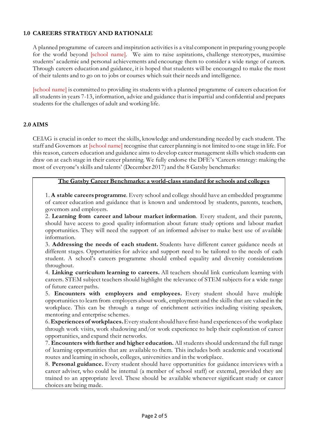#### **1.0 CAREERS STRATEGY AND RATIONALE**

A planned programme of careers and inspiration activities is a vital component in preparing young people for the world beyond [school name]. We aim to raise aspirations, challenge stereotypes, maximise students' academic and personal achievements and encourage them to consider a wide range of careers. Through careers education and guidance, it is hoped that students will be encouraged to make the most of their talents and to go on to jobs or courses which suit their needs and intelligence.

[school name] is committed to providing its students with a planned programme of careers education for all students in years 7-13, information, advice and guidance that is impartial and confidential and prepares students for the challenges of adult and working life.

#### **2.0 AIMS**

CEIAG is crucial in order to meet the skills, knowledge and understanding needed by each student. The staff and Governors at [school name] recognise that career planning is not limited to one stage in life. For this reason, careers education and guidance aims to develop career management skills which students can draw on at each stage in their career planning. We fully endorse the DFE's 'Careers strategy: making the most of everyone's skills and talents' (December 2017) and the 8 Gatsby benchmarks:

#### **The Gatsby Career Benchmarks: a world-class standard for schools and colleges**

1. **A stable careers programme**. Every school and college should have an embedded programme of career education and guidance that is known and understood by students, parents, teachers, governors and employers.

2. **Learning from career and labour market information**. Every student, and their parents, should have access to good quality information about future study options and labour market opportunities. They will need the support of an informed adviser to make best use of available information.

3. **Addressing the needs of each student.** Students have different career guidance needs at different stages. Opportunities for advice and support need to be tailored to the needs of each student. A school's careers programme should embed equality and diversity considerations throughout.

4. **Linking curriculum learning to careers.** All teachers should link curriculum learning with careers. STEM subject teachers should highlight the relevance of STEM subjects for a wide range of future career paths.

5. **Encounters with employers and employees.** Every student should have multiple opportunities to learn from employers about work, employment and the skills that are valued in the workplace. This can be through a range of enrichment activities including visiting speakers, mentoring and enterprise schemes.

6. **Experiences of workplaces.** Every student should have first-hand experiences of the workplace through work visits, work shadowing and/or work experience to help their exploration of career opportunities, and expand their networks.

7. **Encounters with further and higher education.** All students should understand the full range of learning opportunities that are available to them. This includes both academic and vocational routes and learning in schools, colleges, universities and in the workplace.

8. **Personal guidance.** Every student should have opportunities for guidance interviews with a career adviser, who could be internal (a member of school staff) or external, provided they are trained to an appropriate level. These should be available whenever significant study or career choices are being made.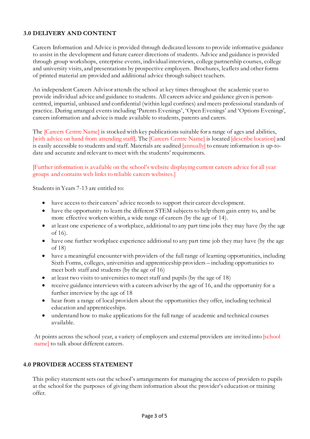#### **3.0 DELIVERY AND CONTENT**

Careers Information and Advice is provided through dedicated lessons to provide informative guidance to assist in the development and future career directions of students. Advice and guidance is provided through group workshops, enterprise events, individual interviews, college partnership courses, college and university visits, and presentations by prospective employers. Brochures, leaflets and other forms of printed material are provided and additional advice through subject teachers.

An independent Careers Advisor attends the school at key times throughout the academic year to provide individual advice and guidance to students. All careers advice and guidance given is personcentred, impartial, unbiased and confidential (within legal confines) and meets professional standards of practice. During arranged events including 'Parents Evenings', 'Open Evenings' and 'Options Evenings', careers information and advice is made available to students, parents and carers.

The [Careers Centre Name] is stocked with key publications suitable for a range of ages and abilities, [with advice on hand from attending staff]. The [Careers Centre Name] is located [describe location] and is easily accessible to students and staff. Materials are audited [annually] to ensure information is up-todate and accurate and relevant to meet with the students' requirements.

[Further information is available on the school's website displaying current careers advice for all year groups and contains web links to reliable careers websites.]

Students in Years 7-13 are entitled to:

- have access to their careers' advice records to support their career development.
- have the opportunity to learn the different STEM subjects to help them gain entry to, and be more effective workers within, a wide range of careers (by the age of 14).
- at least one experience of a workplace, additional to any part time jobs they may have (by the age of 16).
- have one further workplace experience additional to any part time job they may have (by the age of 18)
- have a meaningful encounter with providers of the full range of learning opportunities, including Sixth Forms, colleges, universities and apprenticeship providers – including opportunities to meet both staff and students (by the age of 16)
- at least two visits to universities to meet staff and pupils (by the age of 18)
- receive guidance interviews with a careers adviser by the age of 16, and the opportunity for a further interview by the age of 18
- hear from a range of local providers about the opportunities they offer, including technical education and apprenticeships.
- understand how to make applications for the full range of academic and technical courses available.

At points across the school year, a variety of employers and external providers are invited into [school name] to talk about different careers.

#### **4.0 PROVIDER ACCESS STATEMENT**

This policy statement sets out the school's arrangements for managing the access of providers to pupils at the school for the purposes of giving them information about the provider's education or training offer.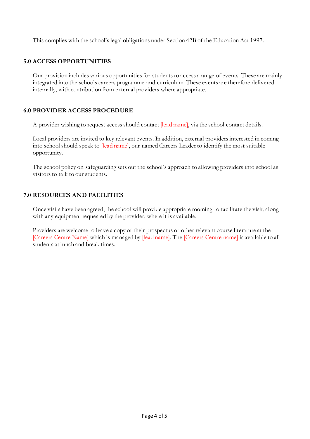This complies with the school's legal obligations under Section 42B of the Education Act 1997.

#### **5.0 ACCESS OPPORTUNITIES**

Our provision includes various opportunities for students to access a range of events. These are mainly integrated into the schools careers programme and curriculum. These events are therefore delivered internally, with contribution from external providers where appropriate.

#### **6.0 PROVIDER ACCESS PROCEDURE**

A provider wishing to request access should contact *[lead name]*, via the school contact details.

Local providers are invited to key relevant events. In addition, external providers interested in coming into school should speak to [lead name], our named Careers Leader to identify the most suitable opportunity.

The school policy on safeguarding sets out the school's approach to allowing providers into school as visitors to talk to our students.

#### **7.0 RESOURCES AND FACILITIES**

Once visits have been agreed, the school will provide appropriate rooming to facilitate the visit, along with any equipment requested by the provider, where it is available.

Providers are welcome to leave a copy of their prospectus or other relevant course literature at the [Careers Centre Name] which is managed by [lead name]. The [Careers Centre name] is available to all students at lunch and break times.